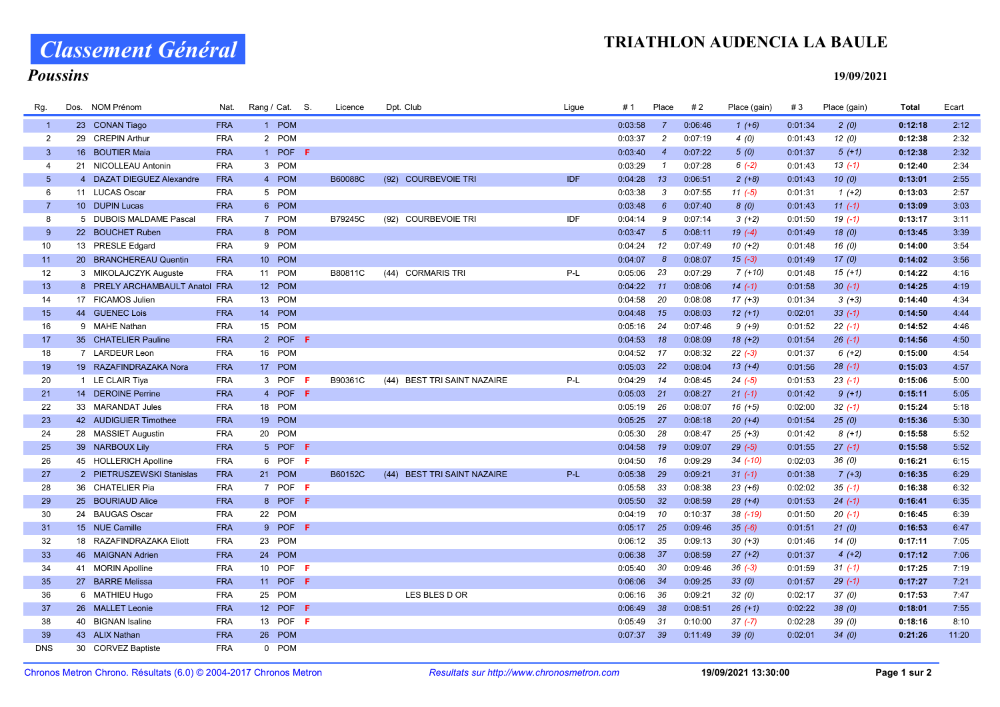### TRIATHLON AUDENCIA LA BAULE

# Classement Général

#### Poussins

19/09/2021

| Rg.             | Dos. | NOM Prénom                     | Nat.       | Rang / Cat. S.  | Licence | Dpt. Club                   | Ligue      | # 1          | Place           | #2      | Place (gain) | #3      | Place (gain) | <b>Total</b> | Ecart |
|-----------------|------|--------------------------------|------------|-----------------|---------|-----------------------------|------------|--------------|-----------------|---------|--------------|---------|--------------|--------------|-------|
| $\overline{1}$  |      | 23 CONAN Tiago                 | <b>FRA</b> | 1 POM           |         |                             |            | 0:03:58      | $\overline{7}$  | 0:06:46 | $1 (+6)$     | 0:01:34 | 2(0)         | 0:12:18      | 2:12  |
| 2               |      | 29 CREPIN Arthur               | <b>FRA</b> | 2 POM           |         |                             |            | 0:03:37      | $\overline{c}$  | 0:07:19 | 4(0)         | 0:01:43 | 12(0)        | 0:12:38      | 2:32  |
| $\mathbf{3}$    |      | 16 BOUTIER Maia                | <b>FRA</b> | 1 POF F         |         |                             |            | 0:03:40      | $\overline{4}$  | 0:07:22 | 5(0)         | 0:01:37 | $5(+1)$      | 0:12:38      | 2:32  |
| 4               |      | 21 NICOLLEAU Antonin           | <b>FRA</b> | 3 POM           |         |                             |            | 0:03:29      | $\mathcal{I}$   | 0:07:28 | $6(-2)$      | 0:01:43 | $13( -1)$    | 0:12:40      | 2:34  |
| $5\phantom{.0}$ |      | 4 DAZAT DIEGUEZ Alexandre      | <b>FRA</b> | 4 POM           | B60088C | (92) COURBEVOIE TRI         | <b>IDF</b> | 0:04:28      | 13              | 0:06:51 | $2 (+8)$     | 0:01:43 | 10(0)        | 0:13:01      | 2:55  |
| 6               |      | 11 LUCAS Oscar                 | <b>FRA</b> | 5 POM           |         |                             |            | 0:03:38      | 3               | 0:07:55 | $11(-5)$     | 0:01:31 | $1 (+2)$     | 0:13:03      | 2:57  |
| $\overline{7}$  |      | 10 DUPIN Lucas                 | <b>FRA</b> | 6 POM           |         |                             |            | 0:03:48      | $6^{\circ}$     | 0:07:40 | 8(0)         | 0:01:43 | $11(-1)$     | 0:13:09      | 3:03  |
| 8               |      | 5 DUBOIS MALDAME Pascal        | <b>FRA</b> | 7 POM           | B79245C | (92) COURBEVOIE TRI         | IDF        | 0:04:14      | 9               | 0:07:14 | $3(+2)$      | 0:01:50 | $19( -1)$    | 0:13:17      | 3:11  |
| 9               |      | 22 BOUCHET Ruben               | <b>FRA</b> | 8 POM           |         |                             |            | 0:03:47      | $5\overline{5}$ | 0:08:11 | $19(-4)$     | 0:01:49 | 18(0)        | 0:13:45      | 3:39  |
| 10              |      | 13 PRESLE Edgard               | <b>FRA</b> | 9 POM           |         |                             |            | 0:04:24      | 12              | 0:07:49 | $10(+2)$     | 0:01:48 | 16(0)        | 0:14:00      | 3:54  |
| 11              |      | 20 BRANCHEREAU Quentin         | <b>FRA</b> | 10 POM          |         |                             |            | 0:04:07      | 8               | 0:08:07 | $15(-3)$     | 0:01:49 | 17(0)        | 0:14:02      | 3:56  |
| 12              |      | 3 MIKOLAJCZYK Auguste          | <b>FRA</b> | 11 POM          | B80811C | (44) CORMARIS TRI           | P-L        | 0:05:06      | 23              | 0:07:29 | $7(+10)$     | 0:01:48 | $15(+1)$     | 0:14:22      | 4:16  |
| 13              |      | 8 PRELY ARCHAMBAULT Anatol FRA |            | 12 POM          |         |                             |            | $0:04:22$ 11 |                 | 0:08:06 | $14(-1)$     | 0:01:58 | $30(-1)$     | 0:14:25      | 4:19  |
| 14              |      | 17 FICAMOS Julien              | <b>FRA</b> | 13 POM          |         |                             |            | 0:04:58      | 20              | 0:08:08 | $17(+3)$     | 0:01:34 | $3 (+3)$     | 0:14:40      | 4:34  |
| 15              |      | 44 GUENEC Lois                 | <b>FRA</b> | 14 POM          |         |                             |            | 0:04:48      | 15              | 0:08:03 | $12(+1)$     | 0:02:01 | $33(-1)$     | 0:14:50      | 4:44  |
| 16              |      | 9 MAHE Nathan                  | <b>FRA</b> | 15 POM          |         |                             |            | 0:05:16      | 24              | 0:07:46 | $9 (+9)$     | 0:01:52 | $22(-1)$     | 0:14:52      | 4:46  |
| 17              |      | 35 CHATELIER Pauline           | <b>FRA</b> | 2 POF F         |         |                             |            | 0:04:53      | 18              | 0:08:09 | $18 (+2)$    | 0:01:54 | $26(-1)$     | 0:14:56      | 4:50  |
| 18              |      | 7 LARDEUR Leon                 | <b>FRA</b> | 16 POM          |         |                             |            | 0:04:52      | 17              | 0:08:32 | $22(-3)$     | 0:01:37 | $6 (+2)$     | 0:15:00      | 4:54  |
| 19              |      | 19 RAZAFINDRAZAKA Nora         | <b>FRA</b> | 17 POM          |         |                             |            | $0:05:03$ 22 |                 | 0:08:04 | $13(+4)$     | 0:01:56 | $28(-1)$     | 0:15:03      | 4:57  |
| 20              |      | 1 LE CLAIR Tiya                | <b>FRA</b> | 3 POF<br>- F    | B90361C | (44) BEST TRI SAINT NAZAIRE | P-L        | 0:04:29      | 14              | 0:08:45 | $24 (-5)$    | 0:01:53 | $23(-1)$     | 0:15:06      | 5:00  |
| 21              |      | 14 DEROINE Perrine             | <b>FRA</b> | 4 POF F         |         |                             |            | 0:05:03      | 21              | 0:08:27 | $21 (-1)$    | 0:01:42 | $9 (+1)$     | 0:15:11      | 5:05  |
| 22              |      | 33 MARANDAT Jules              | <b>FRA</b> | 18 POM          |         |                             |            | 0:05:19      | 26              | 0:08:07 | $16 (+5)$    | 0:02:00 | $32(-1)$     | 0:15:24      | 5:18  |
| 23              |      | 42 AUDIGUIER Timothee          | <b>FRA</b> | 19 POM          |         |                             |            | 0:05:25      | 27              | 0:08:18 | $20 (+4)$    | 0:01:54 | 25(0)        | 0:15:36      | 5:30  |
| 24              |      | 28 MASSIET Augustin            | <b>FRA</b> | 20 POM          |         |                             |            | 0:05:30      | 28              | 0:08:47 | $25 (+3)$    | 0:01:42 | $8 (+1)$     | 0:15:58      | 5:52  |
| 25              |      | 39 NARBOUX Lily                | <b>FRA</b> | 5 POF F         |         |                             |            | $0:04:58$ 19 |                 | 0:09:07 | $29(-5)$     | 0:01:55 | $27(-1)$     | 0:15:58      | 5:52  |
| 26              |      | 45 HOLLERICH Apolline          | <b>FRA</b> | 6 POF F         |         |                             |            | 0:04:50      | 16              | 0:09:29 | $34$ $(-10)$ | 0:02:03 | 36(0)        | 0:16:21      | 6:15  |
| 27              |      | 2 PIETRUSZEWSKI Stanislas      | <b>FRA</b> | 21 POM          | B60152C | (44) BEST TRI SAINT NAZAIRE | $P-L$      | 0:05:38      | 29              | 0:09:21 | $31 (-1)$    | 0:01:38 | $7 (+3)$     | 0:16:35      | 6:29  |
| 28              |      | 36 CHATELIER Pia               | <b>FRA</b> | 7 POF F         |         |                             |            | 0:05:58      | 33              | 0:08:38 | $23 (+6)$    | 0:02:02 | $35(-1)$     | 0:16:38      | 6:32  |
| 29              |      | 25 BOURIAUD Alice              | <b>FRA</b> | 8 POF F         |         |                             |            | 0:05:50      | 32              | 0:08:59 | $28 (+4)$    | 0:01:53 | $24 (-1)$    | 0:16:41      | 6:35  |
| 30              |      | 24 BAUGAS Oscar                | <b>FRA</b> | 22 POM          |         |                             |            | 0:04:19      | 10              | 0:10:37 | $38$ $(-19)$ | 0:01:50 | $20( -1)$    | 0:16:45      | 6:39  |
| 31              |      | 15 NUE Camille                 | <b>FRA</b> | 9 POF F         |         |                             |            | 0:05:17      | 25              | 0:09:46 | $35(-6)$     | 0:01:51 | 21(0)        | 0:16:53      | 6:47  |
| 32              |      | 18 RAZAFINDRAZAKA Eliott       | <b>FRA</b> | 23 POM          |         |                             |            | 0:06:12      | 35              | 0:09:13 | $30 (+3)$    | 0:01:46 | 14(0)        | 0:17:11      | 7:05  |
| 33              |      | 46 MAIGNAN Adrien              | <b>FRA</b> | 24 POM          |         |                             |            | $0:06:38$ 37 |                 | 0:08:59 | $27 (+2)$    | 0:01:37 | $4(+2)$      | 0:17:12      | 7:06  |
| 34              |      | 41 MORIN Apolline              | <b>FRA</b> | 10 POF <b>F</b> |         |                             |            | 0:05:40      | 30              | 0:09:46 | $36(-3)$     | 0:01:59 | $31(-1)$     | 0:17:25      | 7:19  |
| 35              |      | 27 BARRE Melissa               | <b>FRA</b> | 11 POF F        |         |                             |            | 0:06:06      | 34              | 0:09:25 | 33(0)        | 0:01:57 | $29(-1)$     | 0:17:27      | 7:21  |
| 36              |      | 6 MATHIEU Hugo                 | <b>FRA</b> | 25 POM          |         | LES BLES D OR               |            | 0:06:16      | 36              | 0:09:21 | 32(0)        | 0:02:17 | 37(0)        | 0:17:53      | 7:47  |
| 37              |      | 26 MALLET Leonie               | <b>FRA</b> | 12 POF<br>-F    |         |                             |            | 0:06:49      | 38              | 0:08:51 | $26 (+1)$    | 0:02:22 | 38(0)        | 0:18:01      | 7:55  |
| 38              |      | 40 BIGNAN Isaline              | <b>FRA</b> | 13 POF F        |         |                             |            | 0:05:49      | 31              | 0:10:00 | $37(-7)$     | 0:02:28 | 39(0)        | 0:18:16      | 8:10  |
| 39              |      | 43 ALIX Nathan                 | <b>FRA</b> | 26 POM          |         |                             |            | $0:07:37$ 39 |                 | 0:11:49 | 39(0)        | 0:02:01 | 34(0)        | 0:21:26      | 11:20 |
| <b>DNS</b>      |      | 30 CORVEZ Baptiste             | <b>FRA</b> | 0 POM           |         |                             |            |              |                 |         |              |         |              |              |       |